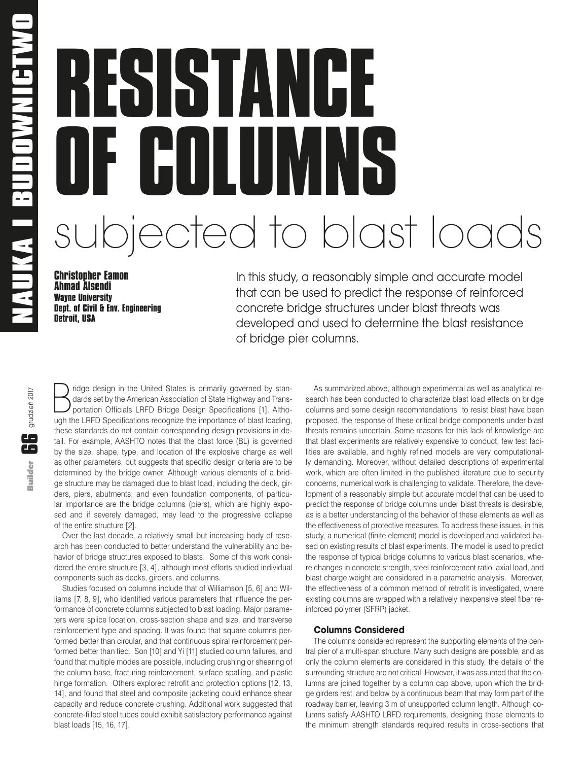# **RESISTANCE OF COLUMNS** subjected to blast loads

**Christopher Eamon Ahmad Alsendi Wayne University Dept. of Civil & Env. Engineering Detroit, USA**

In this study, a reasonably simple and accurate model that can be used to predict the response of reinforced concrete bridge structures under blast threats was developed and used to determine the blast resistance of bridge pier columns.

 $\mathbf{G}$  grudzień 2017 Builder **66** grudzień 2017**Builder** 

ridge design in the United States is primarily governed by standards set by the American Association of State Highway and Transportation Officials LRFD Bridge Design Specifications [1]. Although the LRFD Specifications recognize the importance of blast loading, these standards do not contain corresponding design provisions in detail. For example, AASHTO notes that the blast force (BL) is governed by the size, shape, type, and location of the explosive charge as well as other parameters, but suggests that specific design criteria are to be determined by the bridge owner. Although various elements of a bridge structure may be damaged due to blast load, including the deck, girders, piers, abutments, and even foundation components, of particular importance are the bridge columns (piers), which are highly exposed and if severely damaged, may lead to the progressive collapse of the entire structure [2].

Over the last decade, a relatively small but increasing body of research has been conducted to better understand the vulnerability and behavior of bridge structures exposed to blasts. Some of this work considered the entire structure [3, 4], although most efforts studied individual components such as decks, girders, and columns.

Studies focused on columns include that of Williamson [5, 6] and Williams [7, 8, 9], who identified various parameters that influence the performance of concrete columns subjected to blast loading. Major parameters were splice location, cross-section shape and size, and transverse reinforcement type and spacing. It was found that square columns performed better than circular, and that continuous spiral reinforcement performed better than tied. Son [10] and Yi [11] studied column failures, and found that multiple modes are possible, including crushing or shearing of the column base, fracturing reinforcement, surface spalling, and plastic hinge formation. Others explored retrofit and protection options [12, 13, 14], and found that steel and composite jacketing could enhance shear capacity and reduce concrete crushing. Additional work suggested that concrete-filled steel tubes could exhibit satisfactory performance against blast loads [15, 16, 17].

As summarized above, although experimental as well as analytical research has been conducted to characterize blast load effects on bridge columns and some design recommendations to resist blast have been proposed, the response of these critical bridge components under blast threats remains uncertain. Some reasons for this lack of knowledge are that blast experiments are relatively expensive to conduct, few test facilities are available, and highly refined models are very computationally demanding. Moreover, without detailed descriptions of experimental work, which are often limited in the published literature due to security concerns, numerical work is challenging to validate. Therefore, the development of a reasonably simple but accurate model that can be used to predict the response of bridge columns under blast threats is desirable, as is a better understanding of the behavior of these elements as well as the effectiveness of protective measures. To address these issues, in this study, a numerical (finite element) model is developed and validated based on existing results of blast experiments. The model is used to predict the response of typical bridge columns to various blast scenarios, where changes in concrete strength, steel reinforcement ratio, axial load, and blast charge weight are considered in a parametric analysis. Moreover, the effectiveness of a common method of retrofit is investigated, where existing columns are wrapped with a relatively inexpensive steel fiber reinforced polymer (SFRP) jacket.

# **Columns Considered**

The columns considered represent the supporting elements of the central pier of a multi-span structure. Many such designs are possible, and as only the column elements are considered in this study, the details of the surrounding structure are not critical. However, it was assumed that the columns are joined together by a column cap above, upon which the bridge girders rest, and below by a continuous beam that may form part of the roadway barrier, leaving 3 m of unsupported column length. Although columns satisfy AASHTO LRFD requirements, designing these elements to the minimum strength standards required results in cross-sections that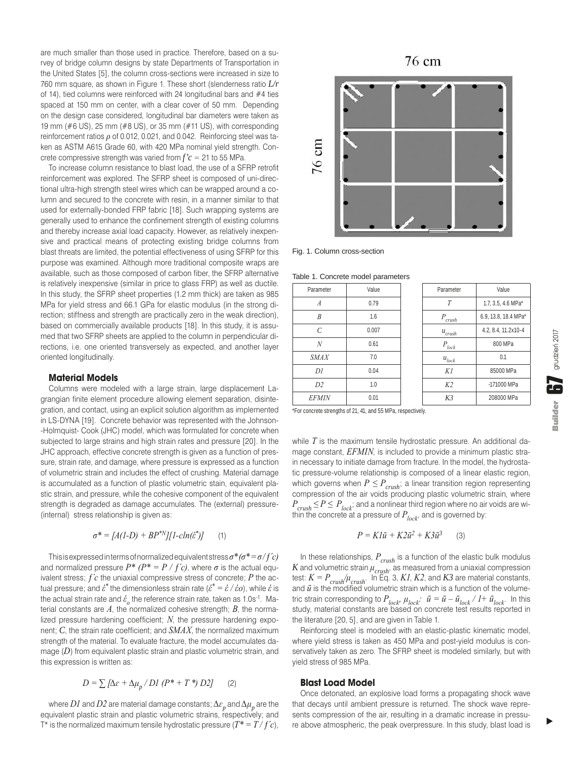are much smaller than those used in practice. Therefore, based on a survey of bridge column designs by state Departments of Transportation in the United States [5], the column cross-sections were increased in size to 760 mm square, as shown in Figure 1. These short (slenderness ratio *L/r* of 14), tied columns were reinforced with 24 longitudinal bars and #4 ties spaced at 150 mm on center, with a clear cover of 50 mm. Depending on the design case considered, longitudinal bar diameters were taken as 19 mm (#6 US), 25 mm (#8 US), or 35 mm (#11 US), with corresponding reinforcement ratios *ρ* of 0.012, 0.021, and 0.042. Reinforcing steel was taken as ASTM A615 Grade 60, with 420 MPa nominal yield strength. Concrete compressive strength was varied from  $f'c = 21$  to 55 MPa.

To increase column resistance to blast load, the use of a SFRP retrofit reinforcement was explored. The SFRP sheet is composed of uni-directional ultra-high strength steel wires which can be wrapped around a column and secured to the concrete with resin, in a manner similar to that used for externally-bonded FRP fabric [18]. Such wrapping systems are generally used to enhance the confinement strength of existing columns and thereby increase axial load capacity. However, as relatively inexpensive and practical means of protecting existing bridge columns from blast threats are limited, the potential effectiveness of using SFRP for this purpose was examined. Although more traditional composite wraps are available, such as those composed of carbon fiber, the SFRP alternative is relatively inexpensive (similar in price to glass FRP) as well as ductile. In this study, the SFRP sheet properties (1.2 mm thick) are taken as 985 MPa for yield stress and 66.1 GPa for elastic modulus (in the strong direction; stiffness and strength are practically zero in the weak direction), based on commercially available products [18]. In this study, it is assumed that two SFRP sheets are applied to the column in perpendicular directions, i.e. one oriented transversely as expected, and another layer oriented longitudinally.

#### **Material Models**

Columns were modeled with a large strain, large displacement Lagrangian finite element procedure allowing element separation, disintegration, and contact, using an explicit solution algorithm as implemented in LS-DYNA [19]. Concrete behavior was represented with the Johnson- -Holmquist- Cook (JHC) model, which was formulated for concrete when subjected to large strains and high strain rates and pressure [20]. In the JHC approach, effective concrete strength is given as a function of pressure, strain rate, and damage, where pressure is expressed as a function of volumetric strain and includes the effect of crushing. Material damage is accumulated as a function of plastic volumetric stain, equivalent plastic strain, and pressure, while the cohesive component of the equivalent strength is degraded as damage accumulates. The (external) pressure- (internal) stress relationship is given as:

$$
\sigma^* = [A(1-D) + BP^{*N}][1-cln(\hat{\varepsilon}^*)]
$$
 (1)

This is expressed in terms of normalized equivalent stress *σ\* (σ\* = σ / ƒ´c)* and normalized pressure  $P^*$  ( $P^* = P / f'c$ ), where  $\sigma$  is the actual equivalent stress; *ƒ´c* the uniaxial compressive stress of concrete; *P* the actual pressure; and *ἑ\** the dimensionless strain rate (*ἑ\* = ἑ / ἑo*), while *ἑ* is the actual strain rate and  $\dot{\epsilon}_o$  the reference strain rate, taken as 1.0s<sup>-1</sup>. Material constants are  $A$ , the normalized cohesive strength;  $B$ , the normalized pressure hardening coefficient; *N*, the pressure hardening exponent; *C*, the strain rate coefficient; and *SMAX*, the normalized maximum strength of the material. To evaluate fracture, the model accumulates damage (*D*) from equivalent plastic strain and plastic volumetric strain, and this expression is written as:

$$
D = \sum \left[ \Delta \varepsilon + \Delta \mu_p / D \right] (P^* + T^*) D2J \qquad (2)
$$

where  $D$ *l* and  $D$ 2 are material damage constants;  $\Delta\varepsilon_{_{p}}$  and  $\Delta\mu_{_{p}}$  are the equivalent plastic strain and plastic volumetric strains, respectively; and T\* is the normalized maximum tensile hydrostatic pressure  $(T^* = T/f'c)$ ,



Fig. 1. Column cross-section

Table 1. Concrete model parameters

| Parameter                                       | Value |  | Parameter      | Value                |
|-------------------------------------------------|-------|--|----------------|----------------------|
| $\boldsymbol{A}$                                | 0.79  |  | T              | 1.7, 3.5, 4.6 MPa*   |
| B                                               | 1.6   |  | P<br>crush     | 6.9, 13.8, 18.4 MPa' |
| $\mathcal{C}_{0}^{0}$                           | 0.007 |  | $u_{crush}$    | 4.2, 8.4, 11.2x10-4  |
| $\overline{N}$                                  | 0.61  |  | $P_{lock}$     | 800 MPa              |
| <b>SMAX</b>                                     | 7.0   |  | $u_{lock}$     | 0.1                  |
| DI                                              | 0.04  |  | K1             | 85000 MPa            |
| D2                                              | 1.0   |  | K <sub>2</sub> | -171000 MPa          |
| <b>EFMIN</b>                                    | 0.01  |  | K3             | 208000 MPa           |
| the contract of the contract of the contract of |       |  |                |                      |

\*For concrete strengths of 21, 41, and 55 MPa, respectively.

while *T* is the maximum tensile hydrostatic pressure. An additional damage constant, *EFMIN*, is included to provide a minimum plastic strain necessary to initiate damage from fracture. In the model, the hydrostatic pressure-volume relationship is composed of a linear elastic region, which governs when  $P \leq P_{crush}$ ; a linear transition region representing compression of the air voids producing plastic volumetric strain, where  $P_{crush} \leq P \leq P_{lock}$ ; and a nonlinear third region where no air voids are within the concrete at a pressure of  $P_{lock}$ , and is governed by:

$$
P = KI\bar{u} + K2\bar{u}^2 + K3\bar{u}^3 \qquad (3)
$$

In these relationships, *Pcrush* is a function of the elastic bulk modulus *K* and volumetric strain *μcrush*, as measured from a uniaxial compression test: *K = Pcrush/μcrush*. In Eq. 3, *K1*, *K2*, and *K3* are material constants, and *ū* is the modified volumetric strain which is a function of the volumetric strain corresponding to  $P_{lock}$ ,  $\mu_{lock}$ :  $\bar{u} = \bar{u} - \bar{u}_{lock}$  /  $I + \bar{u}_{lock}$ . In this study, material constants are based on concrete test results reported in the literature [20, 5], and are given in Table 1.

Reinforcing steel is modeled with an elastic-plastic kinematic model, where yield stress is taken as 450 MPa and post-yield modulus is conservatively taken as zero. The SFRP sheet is modeled similarly, but with yield stress of 985 MPa.

### **Blast Load Model**

Once detonated, an explosive load forms a propagating shock wave that decays until ambient pressure is returned. The shock wave represents compression of the air, resulting in a dramatic increase in pressure above atmospheric, the peak overpressure. In this study, blast load is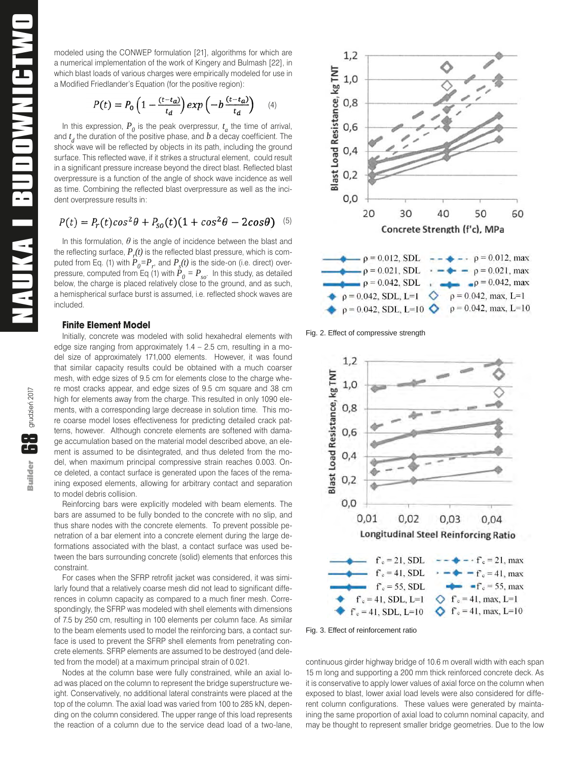modeled using the CONWEP formulation [21], algorithms for which are a numerical implementation of the work of Kingery and Bulmash [22], in which blast loads of various charges were empirically modeled for use in a Modified Friedlander's Equation (for the positive region):

$$
P(t) = P_0 \left( 1 - \frac{(t - t_a)}{t_d} \right) exp \left( -b \frac{(t - t_a)}{t_d} \right) \tag{4}
$$

In this expression,  $P_{\theta}$  is the peak overpressur,  $t_a$  the time of arrival, and  $t_d$  the duration of the positive phase, and  $b$  a decay coefficient. The shock wave will be reflected by objects in its path, including the ground surface. This reflected wave, if it strikes a structural element, could result in a significant pressure increase beyond the direct blast. Reflected blast overpressure is a function of the angle of shock wave incidence as well as time. Combining the reflected blast overpressure as well as the incident overpressure results in:

$$
P(t) = P_r(t)\cos^2\theta + P_{so}(t)(1+\cos^2\theta - 2\cos\theta)
$$
 (5)

In this formulation,  $\theta$  is the angle of incidence between the blast and the reflecting surface,  $P_{r}(t)$  is the reflected blast pressure, which is computed from Eq. (1) with  $P_0 = P_r$ , and  $P_s(t)$  is the side-on (i.e. direct) overpressure, computed from Eq (1) with  $\vec{P}_0 = P_{so}$ . In this study, as detailed below, the charge is placed relatively close to the ground, and as such, a hemispherical surface burst is assumed, i.e. reflected shock waves are included.

#### **Finite Element Model**

Initially, concrete was modeled with solid hexahedral elements with edge size ranging from approximately 1.4 – 2.5 cm, resulting in a model size of approximately 171,000 elements. However, it was found that similar capacity results could be obtained with a much coarser mesh, with edge sizes of 9.5 cm for elements close to the charge where most cracks appear, and edge sizes of 9.5 cm square and 38 cm high for elements away from the charge. This resulted in only 1090 elements, with a corresponding large decrease in solution time. This more coarse model loses effectiveness for predicting detailed crack patterns, however. Although concrete elements are softened with damage accumulation based on the material model described above, an element is assumed to be disintegrated, and thus deleted from the model, when maximum principal compressive strain reaches 0.003. Once deleted, a contact surface is generated upon the faces of the remaining exposed elements, allowing for arbitrary contact and separation to model debris collision.

Reinforcing bars were explicitly modeled with beam elements. The bars are assumed to be fully bonded to the concrete with no slip, and thus share nodes with the concrete elements. To prevent possible penetration of a bar element into a concrete element during the large deformations associated with the blast, a contact surface was used between the bars surrounding concrete (solid) elements that enforces this constraint.

For cases when the SFRP retrofit jacket was considered, it was similarly found that a relatively coarse mesh did not lead to significant differences in column capacity as compared to a much finer mesh. Correspondingly, the SFRP was modeled with shell elements with dimensions of 7.5 by 250 cm, resulting in 100 elements per column face. As similar to the beam elements used to model the reinforcing bars, a contact surface is used to prevent the SFRP shell elements from penetrating concrete elements. SFRP elements are assumed to be destroyed (and deleted from the model) at a maximum principal strain of 0.021.

Nodes at the column base were fully constrained, while an axial load was placed on the column to represent the bridge superstructure weight. Conservatively, no additional lateral constraints were placed at the top of the column. The axial load was varied from 100 to 285 kN, depending on the column considered. The upper range of this load represents the reaction of a column due to the service dead load of a two-lane,



Fig. 2. Effect of compressive strength



Fig. 3. Effect of reinforcement ratio

continuous girder highway bridge of 10.6 m overall width with each span 15 m long and supporting a 200 mm thick reinforced concrete deck. As it is conservative to apply lower values of axial force on the column when exposed to blast, lower axial load levels were also considered for different column configurations. These values were generated by maintaining the same proportion of axial load to column nominal capacity, and may be thought to represent smaller bridge geometries. Due to the low